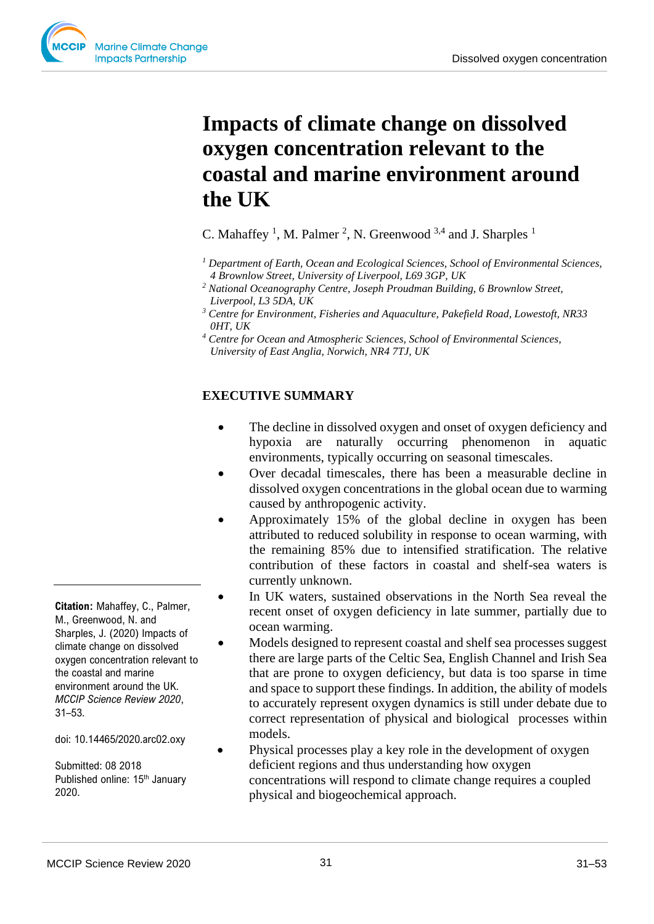

C. Mahaffey<sup>1</sup>, M. Palmer<sup>2</sup>, N. Greenwood<sup>3,4</sup> and J. Sharples<sup>1</sup>

- *<sup>1</sup> Department of Earth, Ocean and Ecological Sciences, School of Environmental Sciences, 4 Brownlow Street, University of Liverpool, L69 3GP, UK*
- *<sup>2</sup> National Oceanography Centre, Joseph Proudman Building, 6 Brownlow Street, Liverpool, L3 5DA, UK*
- *<sup>3</sup> Centre for Environment, Fisheries and Aquaculture, Pakefield Road, Lowestoft, NR33 0HT, UK*
- *<sup>4</sup> Centre for Ocean and Atmospheric Sciences, School of Environmental Sciences, University of East Anglia, Norwich, NR4 7TJ, UK*

## **EXECUTIVE SUMMARY**

- The decline in dissolved oxygen and onset of oxygen deficiency and hypoxia are naturally occurring phenomenon in aquatic environments, typically occurring on seasonal timescales.
- Over decadal timescales, there has been a measurable decline in dissolved oxygen concentrations in the global ocean due to warming caused by anthropogenic activity.
- Approximately 15% of the global decline in oxygen has been attributed to reduced solubility in response to ocean warming, with the remaining 85% due to intensified stratification. The relative contribution of these factors in coastal and shelf-sea waters is currently unknown.
- In UK waters, sustained observations in the North Sea reveal the recent onset of oxygen deficiency in late summer, partially due to ocean warming.
- Models designed to represent coastal and shelf sea processes suggest there are large parts of the Celtic Sea, English Channel and Irish Sea that are prone to oxygen deficiency, but data is too sparse in time and space to support these findings. In addition, the ability of models to accurately represent oxygen dynamics is still under debate due to correct representation of physical and biological processes within models.

• Physical processes play a key role in the development of oxygen deficient regions and thus understanding how oxygen concentrations will respond to climate change requires a coupled physical and biogeochemical approach.

**Citation:** Mahaffey, C., Palmer, M., Greenwood, N. and Sharples, J. (2020) Impacts of climate change on dissolved oxygen concentration relevant to the coastal and marine environment around the UK. *MCCIP Science Review 2020*, 31–53.

doi: 10.14465/2020.arc02.oxy

Submitted: 08 2018 Published online: 15<sup>th</sup> January 2020.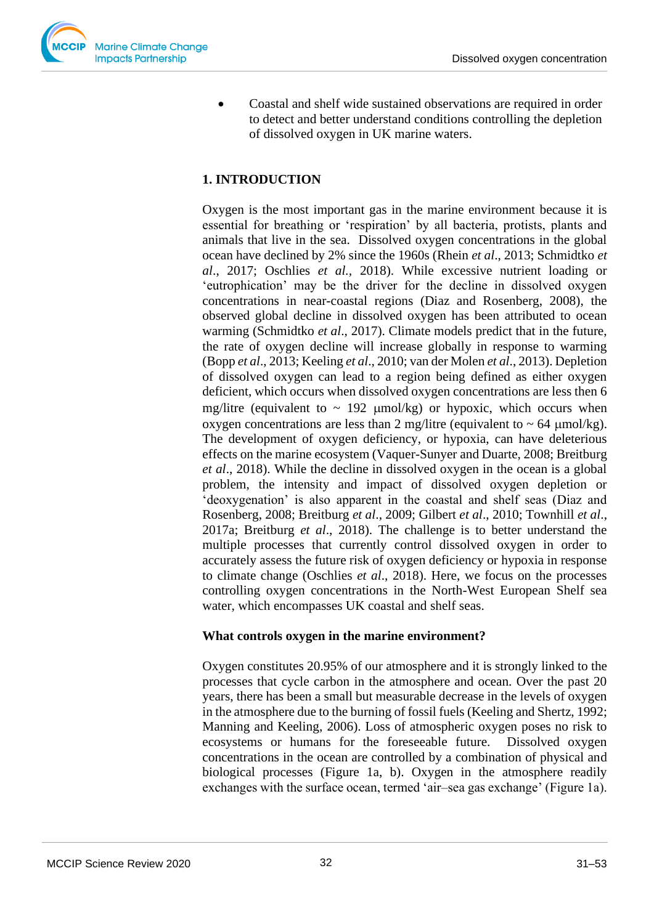

• Coastal and shelf wide sustained observations are required in order to detect and better understand conditions controlling the depletion of dissolved oxygen in UK marine waters.

# **1. INTRODUCTION**

Oxygen is the most important gas in the marine environment because it is essential for breathing or 'respiration' by all bacteria, protists, plants and animals that live in the sea. Dissolved oxygen concentrations in the global ocean have declined by 2% since the 1960s (Rhein *et al*., 2013; Schmidtko *et al*., 2017; Oschlies *et al.,* 2018). While excessive nutrient loading or 'eutrophication' may be the driver for the decline in dissolved oxygen concentrations in near-coastal regions (Diaz and Rosenberg, 2008), the observed global decline in dissolved oxygen has been attributed to ocean warming (Schmidtko *et al*., 2017). Climate models predict that in the future, the rate of oxygen decline will increase globally in response to warming (Bopp *et al*., 2013; Keeling *et al*., 2010; van der Molen *et al*., 2013). Depletion of dissolved oxygen can lead to a region being defined as either oxygen deficient, which occurs when dissolved oxygen concentrations are less then 6 mg/litre (equivalent to  $\sim$  192  $\mu$ mol/kg) or hypoxic, which occurs when oxygen concentrations are less than 2 mg/litre (equivalent to  $\sim$  64  $\mu$ mol/kg). The development of oxygen deficiency, or hypoxia, can have deleterious effects on the marine ecosystem (Vaquer-Sunyer and Duarte, 2008; Breitburg *et al*., 2018). While the decline in dissolved oxygen in the ocean is a global problem, the intensity and impact of dissolved oxygen depletion or 'deoxygenation' is also apparent in the coastal and shelf seas (Diaz and Rosenberg, 2008; Breitburg *et al*., 2009; Gilbert *et al*., 2010; Townhill *et al*., 2017a; Breitburg *et al*., 2018). The challenge is to better understand the multiple processes that currently control dissolved oxygen in order to accurately assess the future risk of oxygen deficiency or hypoxia in response to climate change (Oschlies *et al*., 2018). Here, we focus on the processes controlling oxygen concentrations in the North-West European Shelf sea water, which encompasses UK coastal and shelf seas.

## **What controls oxygen in the marine environment?**

Oxygen constitutes 20.95% of our atmosphere and it is strongly linked to the processes that cycle carbon in the atmosphere and ocean. Over the past 20 years, there has been a small but measurable decrease in the levels of oxygen in the atmosphere due to the burning of fossil fuels (Keeling and Shertz, 1992; Manning and Keeling, 2006). Loss of atmospheric oxygen poses no risk to ecosystems or humans for the foreseeable future. Dissolved oxygen concentrations in the ocean are controlled by a combination of physical and biological processes (Figure 1a, b). Oxygen in the atmosphere readily exchanges with the surface ocean, termed 'air–sea gas exchange' (Figure 1a).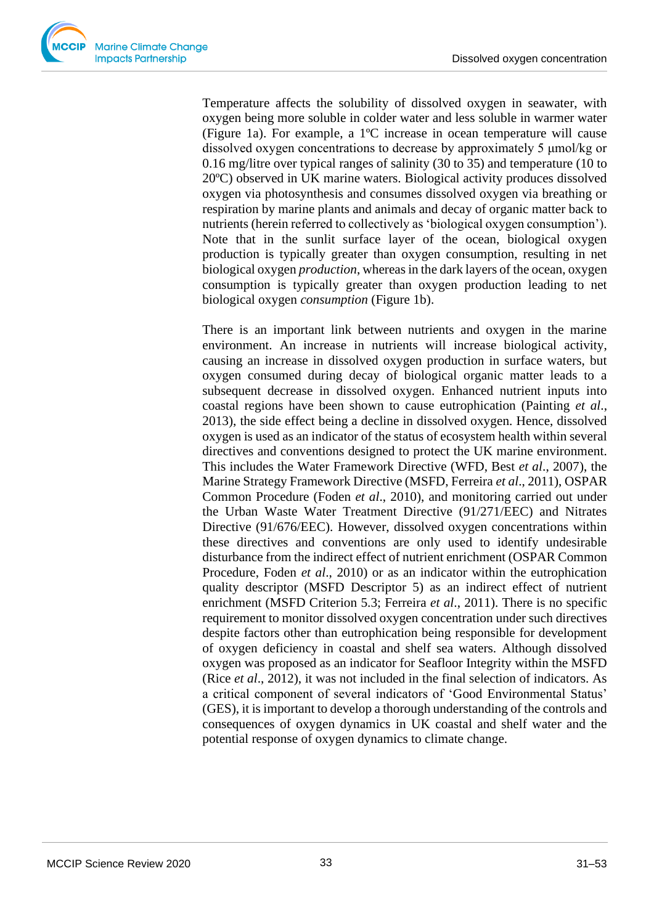Temperature affects the solubility of dissolved oxygen in seawater, with oxygen being more soluble in colder water and less soluble in warmer water (Figure 1a). For example, a 1ºC increase in ocean temperature will cause dissolved oxygen concentrations to decrease by approximately 5 μmol/kg or 0.16 mg/litre over typical ranges of salinity (30 to 35) and temperature (10 to 20ºC) observed in UK marine waters. Biological activity produces dissolved oxygen via photosynthesis and consumes dissolved oxygen via breathing or respiration by marine plants and animals and decay of organic matter back to nutrients (herein referred to collectively as 'biological oxygen consumption'). Note that in the sunlit surface layer of the ocean, biological oxygen production is typically greater than oxygen consumption, resulting in net biological oxygen *production*, whereas in the dark layers of the ocean, oxygen consumption is typically greater than oxygen production leading to net biological oxygen *consumption* (Figure 1b).

There is an important link between nutrients and oxygen in the marine environment. An increase in nutrients will increase biological activity, causing an increase in dissolved oxygen production in surface waters, but oxygen consumed during decay of biological organic matter leads to a subsequent decrease in dissolved oxygen. Enhanced nutrient inputs into coastal regions have been shown to cause eutrophication (Painting *et al*., 2013), the side effect being a decline in dissolved oxygen. Hence, dissolved oxygen is used as an indicator of the status of ecosystem health within several directives and conventions designed to protect the UK marine environment. This includes the Water Framework Directive (WFD, Best *et al*., 2007), the Marine Strategy Framework Directive (MSFD, Ferreira *et al*., 2011), OSPAR Common Procedure (Foden *et al*., 2010), and monitoring carried out under the Urban Waste Water Treatment Directive (91/271/EEC) and Nitrates Directive (91/676/EEC). However, dissolved oxygen concentrations within these directives and conventions are only used to identify undesirable disturbance from the indirect effect of nutrient enrichment (OSPAR Common Procedure, Foden *et al*., 2010) or as an indicator within the eutrophication quality descriptor (MSFD Descriptor 5) as an indirect effect of nutrient enrichment (MSFD Criterion 5.3; Ferreira *et al*., 2011). There is no specific requirement to monitor dissolved oxygen concentration under such directives despite factors other than eutrophication being responsible for development of oxygen deficiency in coastal and shelf sea waters. Although dissolved oxygen was proposed as an indicator for Seafloor Integrity within the MSFD (Rice *et al*., 2012), it was not included in the final selection of indicators. As a critical component of several indicators of 'Good Environmental Status' (GES), it is important to develop a thorough understanding of the controls and consequences of oxygen dynamics in UK coastal and shelf water and the potential response of oxygen dynamics to climate change.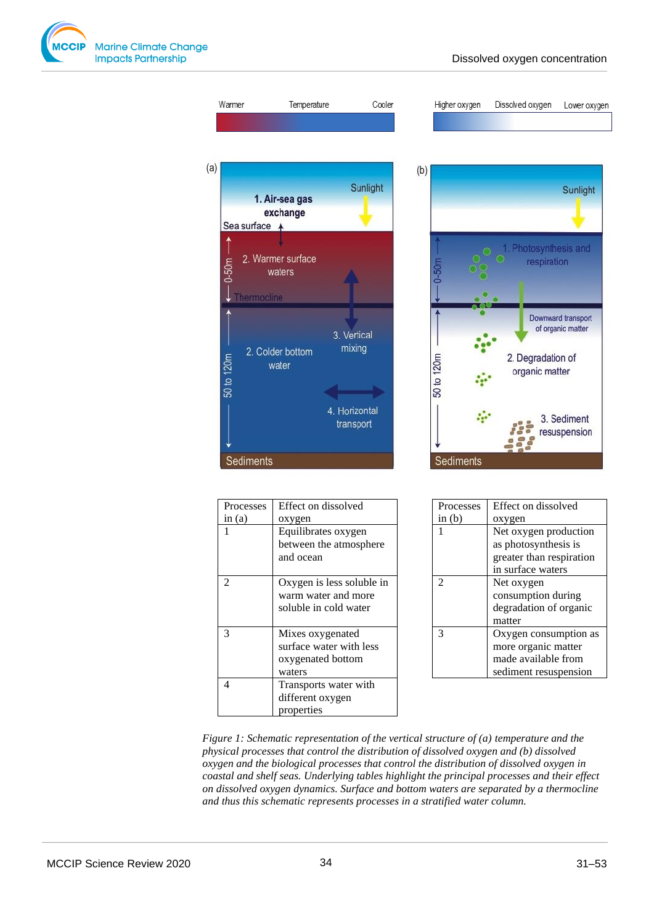

 $(a)$ 

| Warmer                   | Temperature                                               | Cooler                     |     | Higher oxygen | Dissolved oxygen                    | Lower oxygen                            |
|--------------------------|-----------------------------------------------------------|----------------------------|-----|---------------|-------------------------------------|-----------------------------------------|
| Sea surface +<br>$0-50m$ | 1. Air-sea gas<br>exchange<br>2. Warmer surface<br>waters | Sunlight                   | (b) | $0-50m$       | . Photosynthesis and<br>respiration | Sunlight                                |
| 50 to 120m               | Thermocline<br>2. Colder bottom<br>water                  | 3. Vertical<br>mixing      |     | 50 to 120m    | 2. Degradation of<br>organic matter | Downward transport<br>of organic matter |
| Sediments                |                                                           | 4. Horizontal<br>transport |     | Sediments     |                                     | 3. Sediment<br>resuspension             |

| Processes      | Effect on dissolved       |  |
|----------------|---------------------------|--|
| in $(a)$       | oxygen                    |  |
| 1              | Equilibrates oxygen       |  |
|                | between the atmosphere    |  |
|                | and ocean                 |  |
|                |                           |  |
| $\overline{c}$ | Oxygen is less soluble in |  |
|                | warm water and more       |  |
|                | soluble in cold water     |  |
|                |                           |  |
| 3              | Mixes oxygenated          |  |
|                | surface water with less   |  |
|                | oxygenated bottom         |  |
|                | waters                    |  |
| 4              | Transports water with     |  |
|                | different oxygen          |  |
|                | properties                |  |

| Processes      | Effect on dissolved      |  |
|----------------|--------------------------|--|
| in $(b)$       | oxygen                   |  |
|                | Net oxygen production    |  |
|                | as photosynthesis is     |  |
|                | greater than respiration |  |
|                | in surface waters        |  |
| $\mathfrak{D}$ | Net oxygen               |  |
|                | consumption during       |  |
|                | degradation of organic   |  |
|                | matter                   |  |
| 3              | Oxygen consumption as    |  |
|                | more organic matter      |  |
|                | made available from      |  |
|                | sediment resuspension    |  |
|                |                          |  |

*Figure 1: Schematic representation of the vertical structure of (a) temperature and the physical processes that control the distribution of dissolved oxygen and (b) dissolved oxygen and the biological processes that control the distribution of dissolved oxygen in coastal and shelf seas. Underlying tables highlight the principal processes and their effect on dissolved oxygen dynamics. Surface and bottom waters are separated by a thermocline and thus this schematic represents processes in a stratified water column.*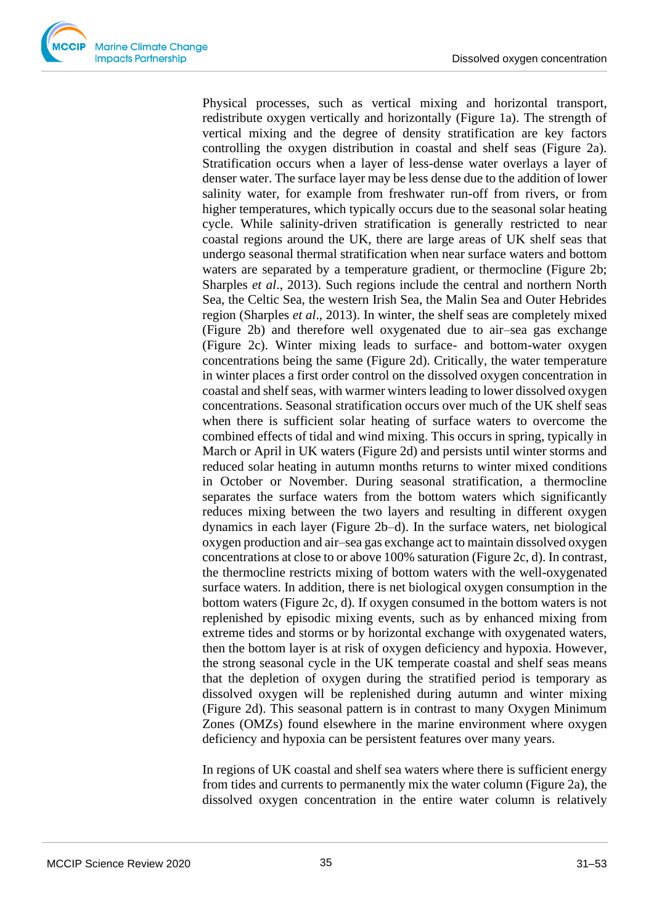

Physical processes, such as vertical mixing and horizontal transport, redistribute oxygen vertically and horizontally (Figure 1a). The strength of vertical mixing and the degree of density stratification are key factors controlling the oxygen distribution in coastal and shelf seas (Figure 2a). Stratification occurs when a layer of less-dense water overlays a layer of denser water. The surface layer may be less dense due to the addition of lower salinity water, for example from freshwater run-off from rivers, or from higher temperatures, which typically occurs due to the seasonal solar heating cycle. While salinity-driven stratification is generally restricted to near coastal regions around the UK, there are large areas of UK shelf seas that undergo seasonal thermal stratification when near surface waters and bottom waters are separated by a temperature gradient, or thermocline (Figure 2b; Sharples *et al*., 2013). Such regions include the central and northern North Sea, the Celtic Sea, the western Irish Sea, the Malin Sea and Outer Hebrides region (Sharples *et al*., 2013). In winter, the shelf seas are completely mixed (Figure 2b) and therefore well oxygenated due to air–sea gas exchange (Figure 2c). Winter mixing leads to surface- and bottom-water oxygen concentrations being the same (Figure 2d). Critically, the water temperature in winter places a first order control on the dissolved oxygen concentration in coastal and shelf seas, with warmer winters leading to lower dissolved oxygen concentrations. Seasonal stratification occurs over much of the UK shelf seas when there is sufficient solar heating of surface waters to overcome the combined effects of tidal and wind mixing. This occurs in spring, typically in March or April in UK waters (Figure 2d) and persists until winter storms and reduced solar heating in autumn months returns to winter mixed conditions in October or November. During seasonal stratification, a thermocline separates the surface waters from the bottom waters which significantly reduces mixing between the two layers and resulting in different oxygen dynamics in each layer (Figure 2b–d). In the surface waters, net biological oxygen production and air–sea gas exchange act to maintain dissolved oxygen concentrations at close to or above 100% saturation (Figure 2c, d). In contrast, the thermocline restricts mixing of bottom waters with the well-oxygenated surface waters. In addition, there is net biological oxygen consumption in the bottom waters (Figure 2c, d). If oxygen consumed in the bottom waters is not replenished by episodic mixing events, such as by enhanced mixing from extreme tides and storms or by horizontal exchange with oxygenated waters, then the bottom layer is at risk of oxygen deficiency and hypoxia. However, the strong seasonal cycle in the UK temperate coastal and shelf seas means that the depletion of oxygen during the stratified period is temporary as dissolved oxygen will be replenished during autumn and winter mixing (Figure 2d). This seasonal pattern is in contrast to many Oxygen Minimum Zones (OMZs) found elsewhere in the marine environment where oxygen deficiency and hypoxia can be persistent features over many years.

In regions of UK coastal and shelf sea waters where there is sufficient energy from tides and currents to permanently mix the water column (Figure 2a), the dissolved oxygen concentration in the entire water column is relatively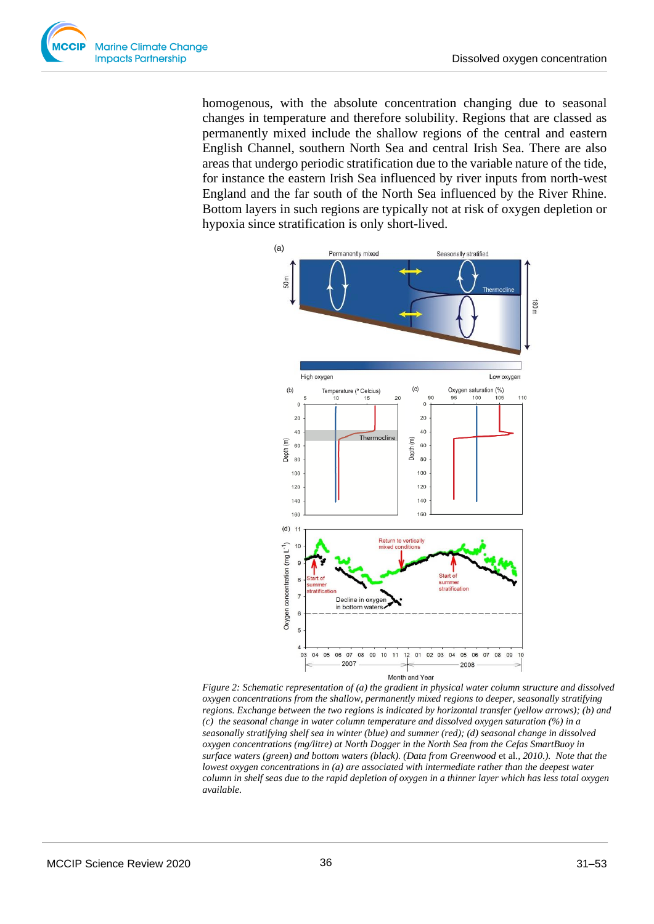

homogenous, with the absolute concentration changing due to seasonal changes in temperature and therefore solubility. Regions that are classed as permanently mixed include the shallow regions of the central and eastern English Channel, southern North Sea and central Irish Sea. There are also areas that undergo periodic stratification due to the variable nature of the tide, for instance the eastern Irish Sea influenced by river inputs from north-west England and the far south of the North Sea influenced by the River Rhine. Bottom layers in such regions are typically not at risk of oxygen depletion or hypoxia since stratification is only short-lived.



*Figure 2: Schematic representation of (a) the gradient in physical water column structure and dissolved oxygen concentrations from the shallow, permanently mixed regions to deeper, seasonally stratifying regions. Exchange between the two regions is indicated by horizontal transfer (yellow arrows); (b) and (c) the seasonal change in water column temperature and dissolved oxygen saturation (%) in a seasonally stratifying shelf sea in winter (blue) and summer (red); (d) seasonal change in dissolved oxygen concentrations (mg/litre) at North Dogger in the North Sea from the Cefas SmartBuoy in surface waters (green) and bottom waters (black). (Data from Greenwood* et al*., 2010.). Note that the lowest oxygen concentrations in (a) are associated with intermediate rather than the deepest water column in shelf seas due to the rapid depletion of oxygen in a thinner layer which has less total oxygen available.*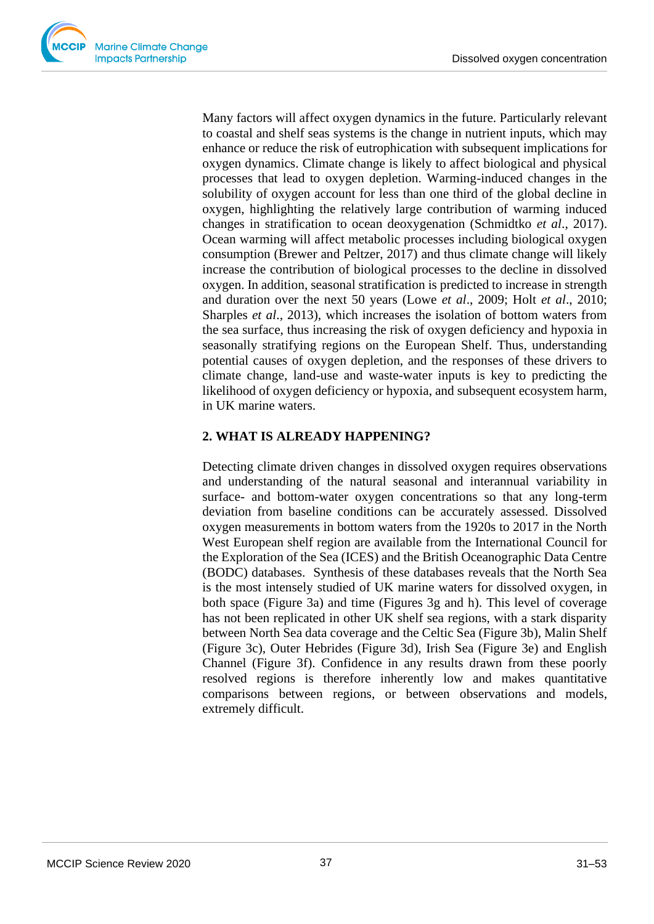

Many factors will affect oxygen dynamics in the future. Particularly relevant to coastal and shelf seas systems is the change in nutrient inputs, which may enhance or reduce the risk of eutrophication with subsequent implications for oxygen dynamics. Climate change is likely to affect biological and physical processes that lead to oxygen depletion. Warming-induced changes in the solubility of oxygen account for less than one third of the global decline in oxygen, highlighting the relatively large contribution of warming induced changes in stratification to ocean deoxygenation (Schmidtko *et al*., 2017). Ocean warming will affect metabolic processes including biological oxygen consumption (Brewer and Peltzer, 2017) and thus climate change will likely increase the contribution of biological processes to the decline in dissolved oxygen. In addition, seasonal stratification is predicted to increase in strength and duration over the next 50 years (Lowe *et al*., 2009; Holt *et al*., 2010; Sharples *et al*., 2013), which increases the isolation of bottom waters from the sea surface, thus increasing the risk of oxygen deficiency and hypoxia in seasonally stratifying regions on the European Shelf. Thus, understanding potential causes of oxygen depletion, and the responses of these drivers to climate change, land-use and waste-water inputs is key to predicting the likelihood of oxygen deficiency or hypoxia, and subsequent ecosystem harm, in UK marine waters.

## **2. WHAT IS ALREADY HAPPENING?**

Detecting climate driven changes in dissolved oxygen requires observations and understanding of the natural seasonal and interannual variability in surface- and bottom-water oxygen concentrations so that any long-term deviation from baseline conditions can be accurately assessed. Dissolved oxygen measurements in bottom waters from the 1920s to 2017 in the North West European shelf region are available from the International Council for the Exploration of the Sea (ICES) and the British Oceanographic Data Centre (BODC) databases. Synthesis of these databases reveals that the North Sea is the most intensely studied of UK marine waters for dissolved oxygen, in both space (Figure 3a) and time (Figures 3g and h). This level of coverage has not been replicated in other UK shelf sea regions, with a stark disparity between North Sea data coverage and the Celtic Sea (Figure 3b), Malin Shelf (Figure 3c), Outer Hebrides (Figure 3d), Irish Sea (Figure 3e) and English Channel (Figure 3f). Confidence in any results drawn from these poorly resolved regions is therefore inherently low and makes quantitative comparisons between regions, or between observations and models, extremely difficult.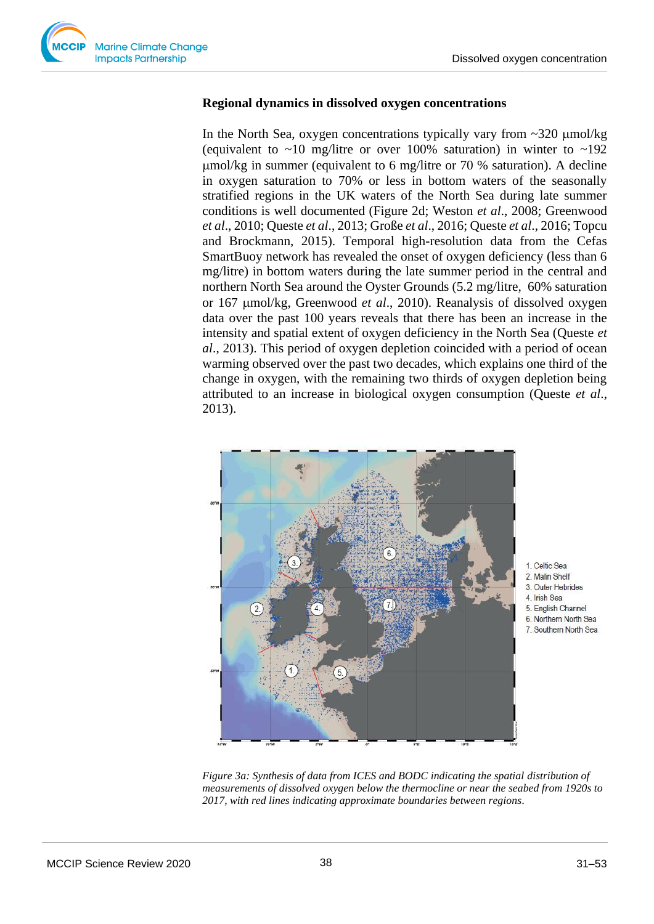

### **Regional dynamics in dissolved oxygen concentrations**

In the North Sea, oxygen concentrations typically vary from  $\sim$ 320  $\mu$ mol/kg (equivalent to  $\sim$ 10 mg/litre or over 100% saturation) in winter to  $\sim$ 192 mol/kg in summer (equivalent to 6 mg/litre or 70 % saturation). A decline in oxygen saturation to 70% or less in bottom waters of the seasonally stratified regions in the UK waters of the North Sea during late summer conditions is well documented (Figure 2d; Weston *et al*., 2008; Greenwood *et al*., 2010; Queste *et al*., 2013; Große *et al*., 2016; Queste *et al*., 2016; Topcu and Brockmann, 2015). Temporal high-resolution data from the Cefas SmartBuoy network has revealed the onset of oxygen deficiency (less than 6 mg/litre) in bottom waters during the late summer period in the central and northern North Sea around the Oyster Grounds (5.2 mg/litre, 60% saturation or 167 mol/kg, Greenwood *et al*., 2010). Reanalysis of dissolved oxygen data over the past 100 years reveals that there has been an increase in the intensity and spatial extent of oxygen deficiency in the North Sea (Queste *et al*., 2013). This period of oxygen depletion coincided with a period of ocean warming observed over the past two decades, which explains one third of the change in oxygen, with the remaining two thirds of oxygen depletion being attributed to an increase in biological oxygen consumption (Queste *et al*., 2013).



1. Celtic Sea

- 2. Malin Shelf
- 3. Outer Hebrides
- 4 Irish Sea
- 5. English Channel
- 6. Northern North Sea 7. Southern North Sea

*Figure 3a: Synthesis of data from ICES and BODC indicating the spatial distribution of measurements of dissolved oxygen below the thermocline or near the seabed from 1920s to 2017, with red lines indicating approximate boundaries between regions.*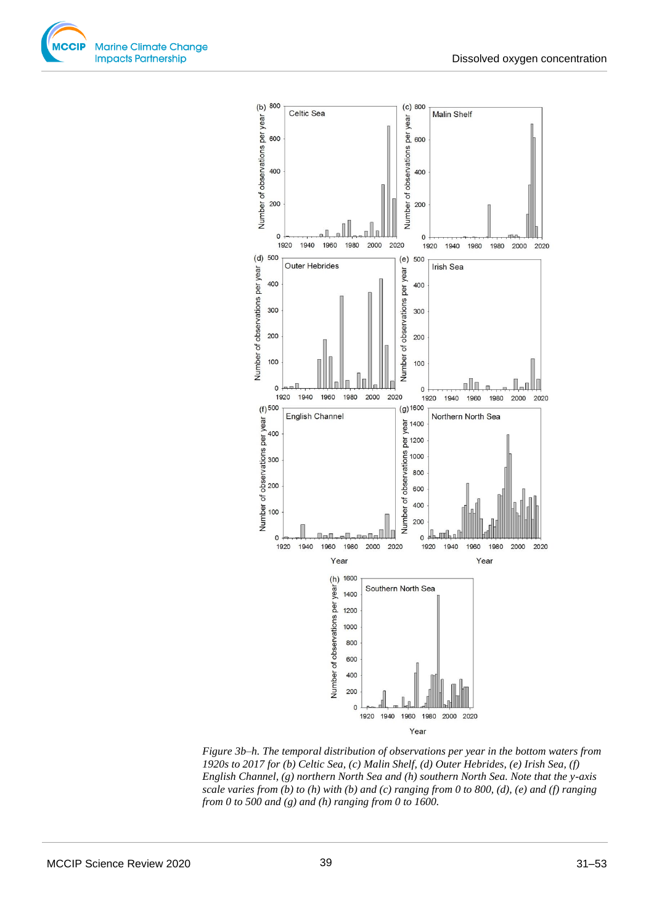



*Figure 3b–h. The temporal distribution of observations per year in the bottom waters from 1920s to 2017 for (b) Celtic Sea, (c) Malin Shelf, (d) Outer Hebrides, (e) Irish Sea, (f) English Channel, (g) northern North Sea and (h) southern North Sea. Note that the y-axis scale varies from (b) to (h) with (b) and (c) ranging from 0 to 800, (d), (e) and (f) ranging from 0 to 500 and (g) and (h) ranging from 0 to 1600.*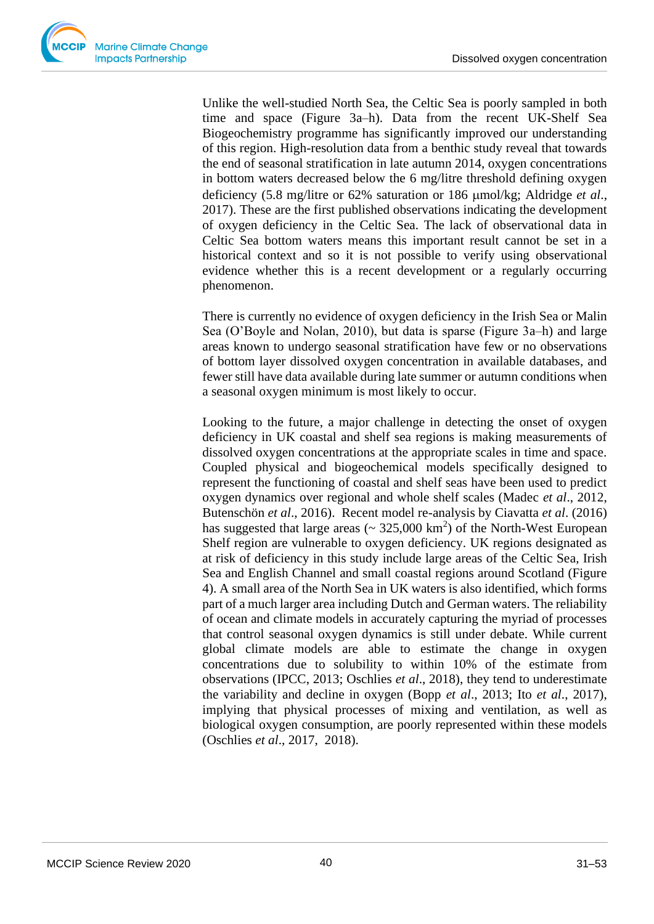Unlike the well-studied North Sea, the Celtic Sea is poorly sampled in both time and space (Figure 3a–h). Data from the recent UK-Shelf Sea Biogeochemistry programme has significantly improved our understanding of this region. High-resolution data from a benthic study reveal that towards the end of seasonal stratification in late autumn 2014, oxygen concentrations in bottom waters decreased below the 6 mg/litre threshold defining oxygen deficiency (5.8 mg/litre or 62% saturation or 186 µmol/kg; Aldridge *et al.*, 2017). These are the first published observations indicating the development of oxygen deficiency in the Celtic Sea. The lack of observational data in Celtic Sea bottom waters means this important result cannot be set in a historical context and so it is not possible to verify using observational evidence whether this is a recent development or a regularly occurring phenomenon.

There is currently no evidence of oxygen deficiency in the Irish Sea or Malin Sea (O'Boyle and Nolan, 2010), but data is sparse (Figure 3a–h) and large areas known to undergo seasonal stratification have few or no observations of bottom layer dissolved oxygen concentration in available databases, and fewer still have data available during late summer or autumn conditions when a seasonal oxygen minimum is most likely to occur.

Looking to the future, a major challenge in detecting the onset of oxygen deficiency in UK coastal and shelf sea regions is making measurements of dissolved oxygen concentrations at the appropriate scales in time and space. Coupled physical and biogeochemical models specifically designed to represent the functioning of coastal and shelf seas have been used to predict oxygen dynamics over regional and whole shelf scales (Madec *et al*., 2012, Butenschön *et al*., 2016). Recent model re-analysis by Ciavatta *et al*. (2016) has suggested that large areas  $\sim 325,000 \text{ km}^2$  of the North-West European Shelf region are vulnerable to oxygen deficiency. UK regions designated as at risk of deficiency in this study include large areas of the Celtic Sea, Irish Sea and English Channel and small coastal regions around Scotland (Figure 4). A small area of the North Sea in UK waters is also identified, which forms part of a much larger area including Dutch and German waters. The reliability of ocean and climate models in accurately capturing the myriad of processes that control seasonal oxygen dynamics is still under debate. While current global climate models are able to estimate the change in oxygen concentrations due to solubility to within 10% of the estimate from observations (IPCC, 2013; Oschlies *et al*., 2018), they tend to underestimate the variability and decline in oxygen (Bopp *et al*., 2013; Ito *et al*., 2017), implying that physical processes of mixing and ventilation, as well as biological oxygen consumption, are poorly represented within these models (Oschlies *et al*., 2017, 2018).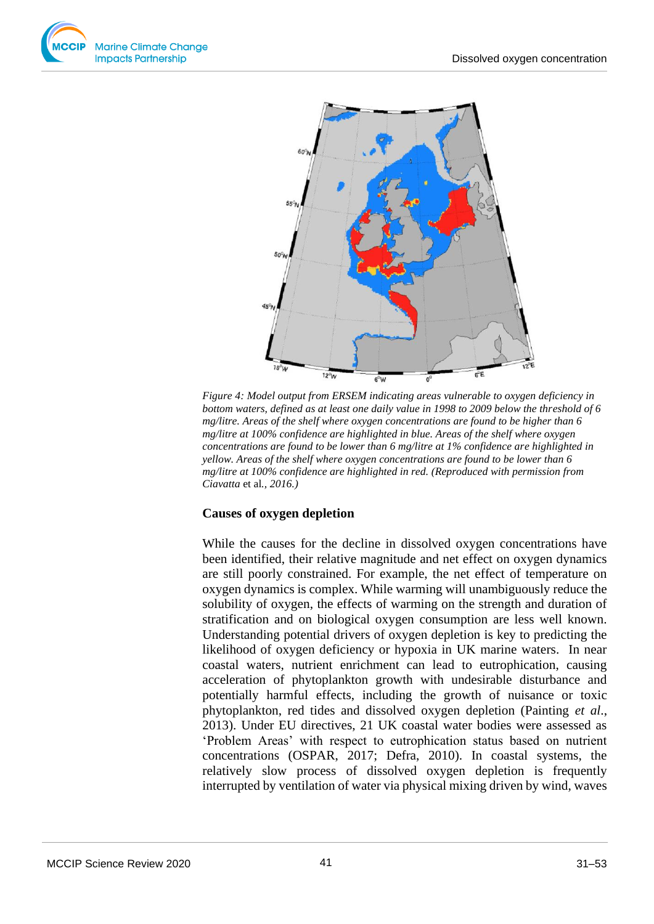



*Figure 4: Model output from ERSEM indicating areas vulnerable to oxygen deficiency in bottom waters, defined as at least one daily value in 1998 to 2009 below the threshold of 6 mg/litre. Areas of the shelf where oxygen concentrations are found to be higher than 6 mg/litre at 100% confidence are highlighted in blue. Areas of the shelf where oxygen concentrations are found to be lower than 6 mg/litre at 1% confidence are highlighted in yellow. Areas of the shelf where oxygen concentrations are found to be lower than 6 mg/litre at 100% confidence are highlighted in red. (Reproduced with permission from Ciavatta* et al*., 2016.)* 

## **Causes of oxygen depletion**

While the causes for the decline in dissolved oxygen concentrations have been identified, their relative magnitude and net effect on oxygen dynamics are still poorly constrained. For example, the net effect of temperature on oxygen dynamics is complex. While warming will unambiguously reduce the solubility of oxygen, the effects of warming on the strength and duration of stratification and on biological oxygen consumption are less well known. Understanding potential drivers of oxygen depletion is key to predicting the likelihood of oxygen deficiency or hypoxia in UK marine waters. In near coastal waters, nutrient enrichment can lead to eutrophication, causing acceleration of phytoplankton growth with undesirable disturbance and potentially harmful effects, including the growth of nuisance or toxic phytoplankton, red tides and dissolved oxygen depletion (Painting *et al*., 2013). Under EU directives, 21 UK coastal water bodies were assessed as 'Problem Areas' with respect to eutrophication status based on nutrient concentrations (OSPAR, 2017; Defra, 2010). In coastal systems, the relatively slow process of dissolved oxygen depletion is frequently interrupted by ventilation of water via physical mixing driven by wind, waves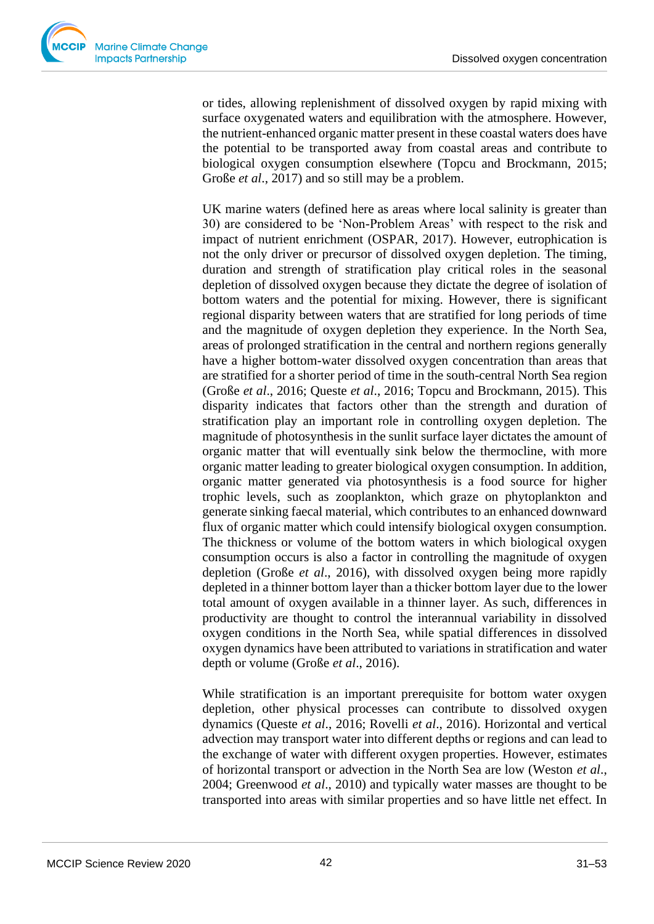

or tides, allowing replenishment of dissolved oxygen by rapid mixing with surface oxygenated waters and equilibration with the atmosphere. However, the nutrient-enhanced organic matter present in these coastal waters does have the potential to be transported away from coastal areas and contribute to biological oxygen consumption elsewhere (Topcu and Brockmann, 2015; Große *et al*., 2017) and so still may be a problem.

UK marine waters (defined here as areas where local salinity is greater than 30) are considered to be 'Non-Problem Areas' with respect to the risk and impact of nutrient enrichment (OSPAR, 2017). However, eutrophication is not the only driver or precursor of dissolved oxygen depletion. The timing, duration and strength of stratification play critical roles in the seasonal depletion of dissolved oxygen because they dictate the degree of isolation of bottom waters and the potential for mixing. However, there is significant regional disparity between waters that are stratified for long periods of time and the magnitude of oxygen depletion they experience. In the North Sea, areas of prolonged stratification in the central and northern regions generally have a higher bottom-water dissolved oxygen concentration than areas that are stratified for a shorter period of time in the south-central North Sea region (Große *et al*., 2016; Queste *et al*., 2016; Topcu and Brockmann, 2015). This disparity indicates that factors other than the strength and duration of stratification play an important role in controlling oxygen depletion. The magnitude of photosynthesis in the sunlit surface layer dictates the amount of organic matter that will eventually sink below the thermocline, with more organic matter leading to greater biological oxygen consumption. In addition, organic matter generated via photosynthesis is a food source for higher trophic levels, such as zooplankton, which graze on phytoplankton and generate sinking faecal material, which contributes to an enhanced downward flux of organic matter which could intensify biological oxygen consumption. The thickness or volume of the bottom waters in which biological oxygen consumption occurs is also a factor in controlling the magnitude of oxygen depletion (Große *et al*., 2016), with dissolved oxygen being more rapidly depleted in a thinner bottom layer than a thicker bottom layer due to the lower total amount of oxygen available in a thinner layer. As such, differences in productivity are thought to control the interannual variability in dissolved oxygen conditions in the North Sea, while spatial differences in dissolved oxygen dynamics have been attributed to variations in stratification and water depth or volume (Große *et al*., 2016).

While stratification is an important prerequisite for bottom water oxygen depletion, other physical processes can contribute to dissolved oxygen dynamics (Queste *et al*., 2016; Rovelli *et al*., 2016). Horizontal and vertical advection may transport water into different depths or regions and can lead to the exchange of water with different oxygen properties. However, estimates of horizontal transport or advection in the North Sea are low (Weston *et al*., 2004; Greenwood *et al*., 2010) and typically water masses are thought to be transported into areas with similar properties and so have little net effect. In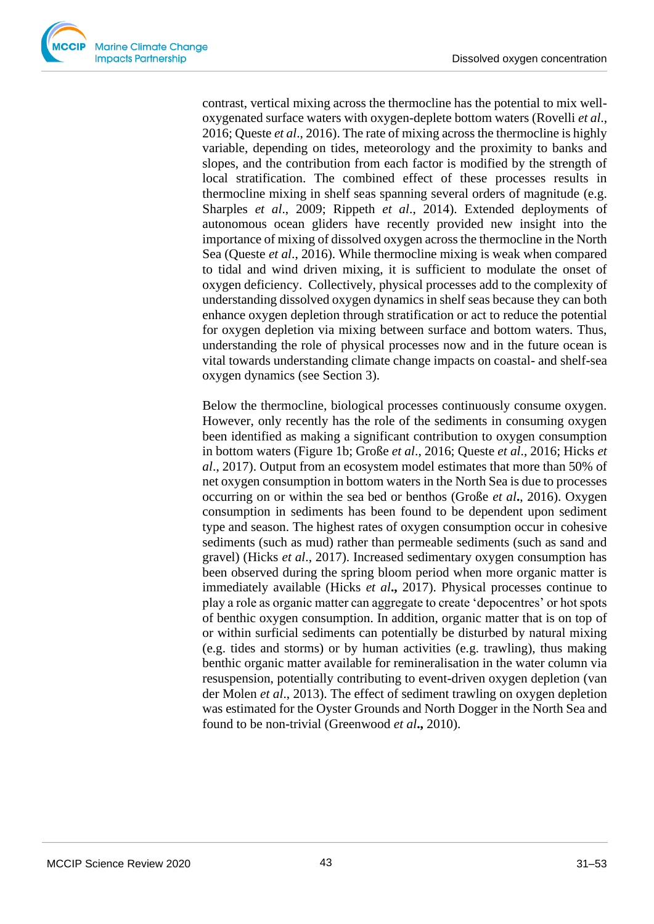contrast, vertical mixing across the thermocline has the potential to mix welloxygenated surface waters with oxygen-deplete bottom waters (Rovelli *et al*., 2016; Queste *et al*., 2016). The rate of mixing across the thermocline is highly variable, depending on tides, meteorology and the proximity to banks and slopes, and the contribution from each factor is modified by the strength of local stratification. The combined effect of these processes results in thermocline mixing in shelf seas spanning several orders of magnitude (e.g. Sharples *et al*., 2009; Rippeth *et al*., 2014). Extended deployments of autonomous ocean gliders have recently provided new insight into the importance of mixing of dissolved oxygen across the thermocline in the North Sea (Queste *et al*., 2016). While thermocline mixing is weak when compared to tidal and wind driven mixing, it is sufficient to modulate the onset of oxygen deficiency. Collectively, physical processes add to the complexity of understanding dissolved oxygen dynamics in shelf seas because they can both enhance oxygen depletion through stratification or act to reduce the potential for oxygen depletion via mixing between surface and bottom waters. Thus, understanding the role of physical processes now and in the future ocean is vital towards understanding climate change impacts on coastal- and shelf-sea oxygen dynamics (see Section 3).

Below the thermocline, biological processes continuously consume oxygen. However, only recently has the role of the sediments in consuming oxygen been identified as making a significant contribution to oxygen consumption in bottom waters (Figure 1b; Große *et al*., 2016; Queste *et al*., 2016; Hicks *et al*., 2017). Output from an ecosystem model estimates that more than 50% of net oxygen consumption in bottom waters in the North Sea is due to processes occurring on or within the sea bed or benthos (Große *et al***.**, 2016). Oxygen consumption in sediments has been found to be dependent upon sediment type and season. The highest rates of oxygen consumption occur in cohesive sediments (such as mud) rather than permeable sediments (such as sand and gravel) (Hicks *et al*., 2017). Increased sedimentary oxygen consumption has been observed during the spring bloom period when more organic matter is immediately available (Hicks *et al***.,** 2017). Physical processes continue to play a role as organic matter can aggregate to create 'depocentres' or hot spots of benthic oxygen consumption. In addition, organic matter that is on top of or within surficial sediments can potentially be disturbed by natural mixing (e.g. tides and storms) or by human activities (e.g. trawling), thus making benthic organic matter available for remineralisation in the water column via resuspension, potentially contributing to event-driven oxygen depletion (van der Molen *et al*., 2013). The effect of sediment trawling on oxygen depletion was estimated for the Oyster Grounds and North Dogger in the North Sea and found to be non-trivial (Greenwood *et al***.,** 2010).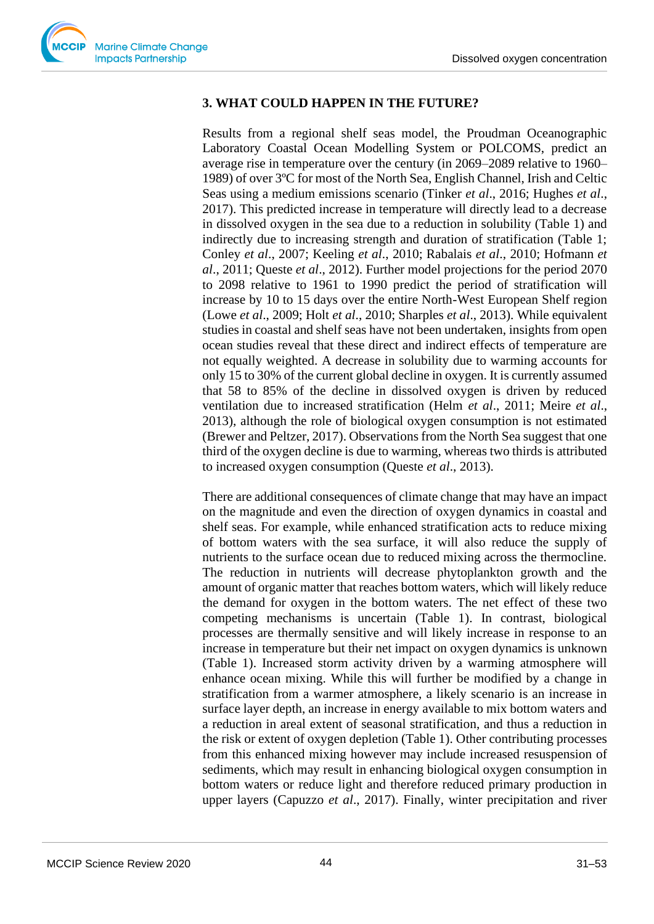# **3. WHAT COULD HAPPEN IN THE FUTURE?**

Results from a regional shelf seas model, the Proudman Oceanographic Laboratory Coastal Ocean Modelling System or POLCOMS, predict an average rise in temperature over the century (in 2069–2089 relative to 1960– 1989) of over 3ºC for most of the North Sea, English Channel, Irish and Celtic Seas using a medium emissions scenario (Tinker *et al*., 2016; Hughes *et al*., 2017). This predicted increase in temperature will directly lead to a decrease in dissolved oxygen in the sea due to a reduction in solubility (Table 1) and indirectly due to increasing strength and duration of stratification (Table 1; Conley *et al*., 2007; Keeling *et al*., 2010; Rabalais *et al*., 2010; Hofmann *et al*., 2011; Queste *et al*., 2012). Further model projections for the period 2070 to 2098 relative to 1961 to 1990 predict the period of stratification will increase by 10 to 15 days over the entire North-West European Shelf region (Lowe *et al*., 2009; Holt *et al*., 2010; Sharples *et al*., 2013). While equivalent studies in coastal and shelf seas have not been undertaken, insights from open ocean studies reveal that these direct and indirect effects of temperature are not equally weighted. A decrease in solubility due to warming accounts for only 15 to 30% of the current global decline in oxygen. It is currently assumed that 58 to 85% of the decline in dissolved oxygen is driven by reduced ventilation due to increased stratification (Helm *et al*., 2011; Meire *et al*., 2013), although the role of biological oxygen consumption is not estimated (Brewer and Peltzer, 2017). Observations from the North Sea suggest that one third of the oxygen decline is due to warming, whereas two thirds is attributed to increased oxygen consumption (Queste *et al*., 2013).

There are additional consequences of climate change that may have an impact on the magnitude and even the direction of oxygen dynamics in coastal and shelf seas. For example, while enhanced stratification acts to reduce mixing of bottom waters with the sea surface, it will also reduce the supply of nutrients to the surface ocean due to reduced mixing across the thermocline. The reduction in nutrients will decrease phytoplankton growth and the amount of organic matter that reaches bottom waters, which will likely reduce the demand for oxygen in the bottom waters. The net effect of these two competing mechanisms is uncertain (Table 1). In contrast, biological processes are thermally sensitive and will likely increase in response to an increase in temperature but their net impact on oxygen dynamics is unknown (Table 1). Increased storm activity driven by a warming atmosphere will enhance ocean mixing. While this will further be modified by a change in stratification from a warmer atmosphere, a likely scenario is an increase in surface layer depth, an increase in energy available to mix bottom waters and a reduction in areal extent of seasonal stratification, and thus a reduction in the risk or extent of oxygen depletion (Table 1). Other contributing processes from this enhanced mixing however may include increased resuspension of sediments, which may result in enhancing biological oxygen consumption in bottom waters or reduce light and therefore reduced primary production in upper layers (Capuzzo *et al*., 2017). Finally, winter precipitation and river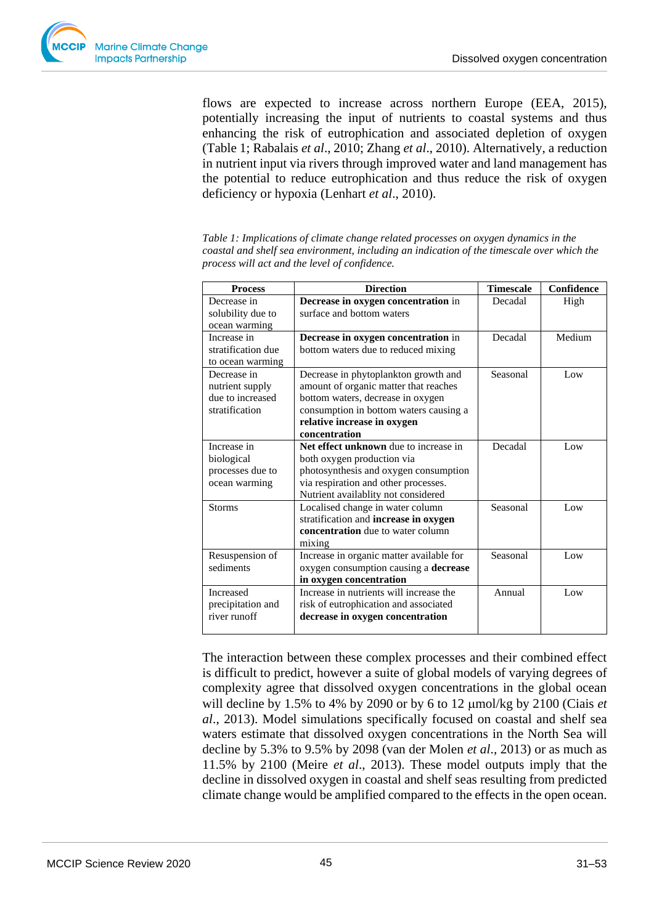Seasonal Low

Seasonal Low

Annual Low

flows are expected to increase across northern Europe (EEA, 2015), potentially increasing the input of nutrients to coastal systems and thus enhancing the risk of eutrophication and associated depletion of oxygen (Table 1; Rabalais *et al*., 2010; Zhang *et al*., 2010). Alternatively, a reduction in nutrient input via rivers through improved water and land management has the potential to reduce eutrophication and thus reduce the risk of oxygen deficiency or hypoxia (Lenhart *et al*., 2010).

| <b>Direction</b><br><b>Process</b> |                                        | <b>Timescale</b> | Confidence |
|------------------------------------|----------------------------------------|------------------|------------|
| Decrease in                        | Decrease in oxygen concentration in    | Decadal          | High       |
| solubility due to                  | surface and bottom waters              |                  |            |
| ocean warming                      |                                        |                  |            |
| Increase in                        | Decrease in oxygen concentration in    | Decadal          | Medium     |
| stratification due                 | bottom waters due to reduced mixing    |                  |            |
| to ocean warming                   |                                        |                  |            |
| Decrease in                        | Decrease in phytoplankton growth and   | Seasonal         | Low        |
| nutrient supply                    | amount of organic matter that reaches  |                  |            |
| due to increased                   | bottom waters, decrease in oxygen      |                  |            |
| stratification                     | consumption in bottom waters causing a |                  |            |
|                                    | relative increase in oxygen            |                  |            |
|                                    | concentration                          |                  |            |
| Increase in                        | Net effect unknown due to increase in  | Decadal          | Low        |
| biological                         | both oxygen production via             |                  |            |
| processes due to                   | photosynthesis and oxygen consumption  |                  |            |
| ocean warming                      | via respiration and other processes.   |                  |            |
|                                    | Nutrient availablity not considered    |                  |            |

*Table 1: Implications of climate change related processes on oxygen dynamics in the coastal and shelf sea environment, including an indication of the timescale over which the process will act and the level of confidence.* 

The interaction between these complex processes and their combined effect is difficult to predict, however a suite of global models of varying degrees of complexity agree that dissolved oxygen concentrations in the global ocean will decline by 1.5% to 4% by 2090 or by 6 to 12 mol/kg by 2100 (Ciais *et al*., 2013). Model simulations specifically focused on coastal and shelf sea waters estimate that dissolved oxygen concentrations in the North Sea will decline by 5.3% to 9.5% by 2098 (van der Molen *et al*., 2013) or as much as 11.5% by 2100 (Meire *et al*., 2013). These model outputs imply that the decline in dissolved oxygen in coastal and shelf seas resulting from predicted climate change would be amplified compared to the effects in the open ocean.

Storms **Localised change in water column** 

mixing

Resuspension of sediments

Increased precipitation and river runoff

stratification and **increase in oxygen concentration** due to water column

Increase in organic matter available for oxygen consumption causing a **decrease** 

Increase in nutrients will increase the risk of eutrophication and associated **decrease in oxygen concentration**

**in oxygen concentration**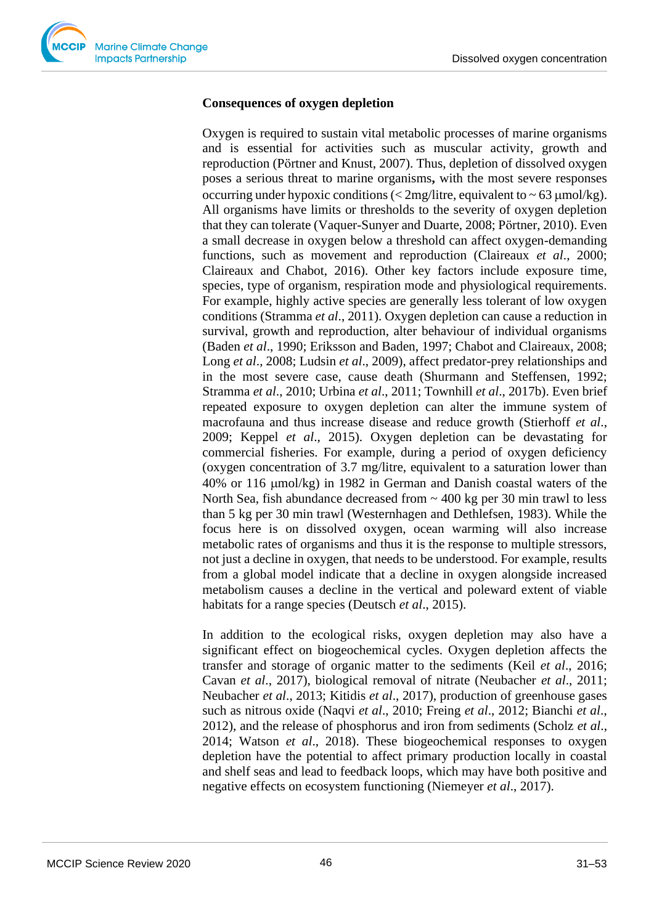#### **Consequences of oxygen depletion**

Oxygen is required to sustain vital metabolic processes of marine organisms and is essential for activities such as muscular activity, growth and reproduction (Pörtner and Knust, 2007). Thus, depletion of dissolved oxygen poses a serious threat to marine organisms**,** with the most severe responses occurring under hypoxic conditions ( $\langle 2mg/l$  itre, equivalent to  $\sim 63 \mu$  mol/kg). All organisms have limits or thresholds to the severity of oxygen depletion that they can tolerate (Vaquer-Sunyer and Duarte, 2008; Pörtner, 2010). Even a small decrease in oxygen below a threshold can affect oxygen-demanding functions, such as movement and reproduction (Claireaux *et al*., 2000; Claireaux and Chabot, 2016). Other key factors include exposure time, species, type of organism, respiration mode and physiological requirements. For example, highly active species are generally less tolerant of low oxygen conditions (Stramma *et al*., 2011). Oxygen depletion can cause a reduction in survival, growth and reproduction, alter behaviour of individual organisms (Baden *et al*., 1990; Eriksson and Baden, 1997; Chabot and Claireaux, 2008; Long *et al*., 2008; Ludsin *et al*., 2009), affect predator-prey relationships and in the most severe case, cause death (Shurmann and Steffensen, 1992; Stramma *et al*., 2010; Urbina *et al*., 2011; Townhill *et al*., 2017b). Even brief repeated exposure to oxygen depletion can alter the immune system of macrofauna and thus increase disease and reduce growth (Stierhoff *et al*., 2009; Keppel *et al*., 2015). Oxygen depletion can be devastating for commercial fisheries. For example, during a period of oxygen deficiency (oxygen concentration of 3.7 mg/litre, equivalent to a saturation lower than  $40\%$  or 116  $\mu$ mol/kg) in 1982 in German and Danish coastal waters of the North Sea, fish abundance decreased from  $\sim$  400 kg per 30 min trawl to less than 5 kg per 30 min trawl (Westernhagen and Dethlefsen, 1983). While the focus here is on dissolved oxygen, ocean warming will also increase metabolic rates of organisms and thus it is the response to multiple stressors, not just a decline in oxygen, that needs to be understood. For example, results from a global model indicate that a decline in oxygen alongside increased metabolism causes a decline in the vertical and poleward extent of viable habitats for a range species (Deutsch *et al*., 2015).

In addition to the ecological risks, oxygen depletion may also have a significant effect on biogeochemical cycles. Oxygen depletion affects the transfer and storage of organic matter to the sediments (Keil *et al*., 2016; Cavan *et al*., 2017), biological removal of nitrate (Neubacher *et al*., 2011; Neubacher *et al*., 2013; Kitidis *et al*., 2017), production of greenhouse gases such as nitrous oxide (Naqvi *et al*., 2010; Freing *et al*., 2012; Bianchi *et al*., 2012), and the release of phosphorus and iron from sediments (Scholz *et al*., 2014; Watson *et al*., 2018). These biogeochemical responses to oxygen depletion have the potential to affect primary production locally in coastal and shelf seas and lead to feedback loops, which may have both positive and negative effects on ecosystem functioning (Niemeyer *et al*., 2017).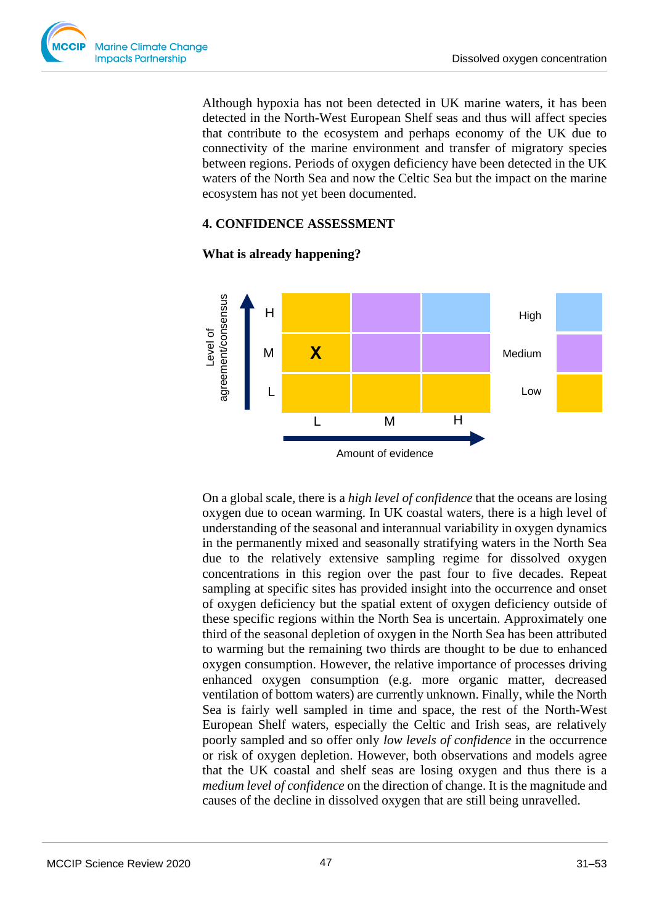

Although hypoxia has not been detected in UK marine waters, it has been detected in the North-West European Shelf seas and thus will affect species that contribute to the ecosystem and perhaps economy of the UK due to connectivity of the marine environment and transfer of migratory species between regions. Periods of oxygen deficiency have been detected in the UK waters of the North Sea and now the Celtic Sea but the impact on the marine ecosystem has not yet been documented.

## **4. CONFIDENCE ASSESSMENT**



### **What is already happening?**

On a global scale, there is a *high level of confidence* that the oceans are losing oxygen due to ocean warming. In UK coastal waters, there is a high level of understanding of the seasonal and interannual variability in oxygen dynamics in the permanently mixed and seasonally stratifying waters in the North Sea due to the relatively extensive sampling regime for dissolved oxygen concentrations in this region over the past four to five decades. Repeat sampling at specific sites has provided insight into the occurrence and onset of oxygen deficiency but the spatial extent of oxygen deficiency outside of these specific regions within the North Sea is uncertain. Approximately one third of the seasonal depletion of oxygen in the North Sea has been attributed to warming but the remaining two thirds are thought to be due to enhanced oxygen consumption. However, the relative importance of processes driving enhanced oxygen consumption (e.g. more organic matter, decreased ventilation of bottom waters) are currently unknown. Finally, while the North Sea is fairly well sampled in time and space, the rest of the North-West European Shelf waters, especially the Celtic and Irish seas, are relatively poorly sampled and so offer only *low levels of confidence* in the occurrence or risk of oxygen depletion. However, both observations and models agree that the UK coastal and shelf seas are losing oxygen and thus there is a *medium level of confidence* on the direction of change. It is the magnitude and causes of the decline in dissolved oxygen that are still being unravelled.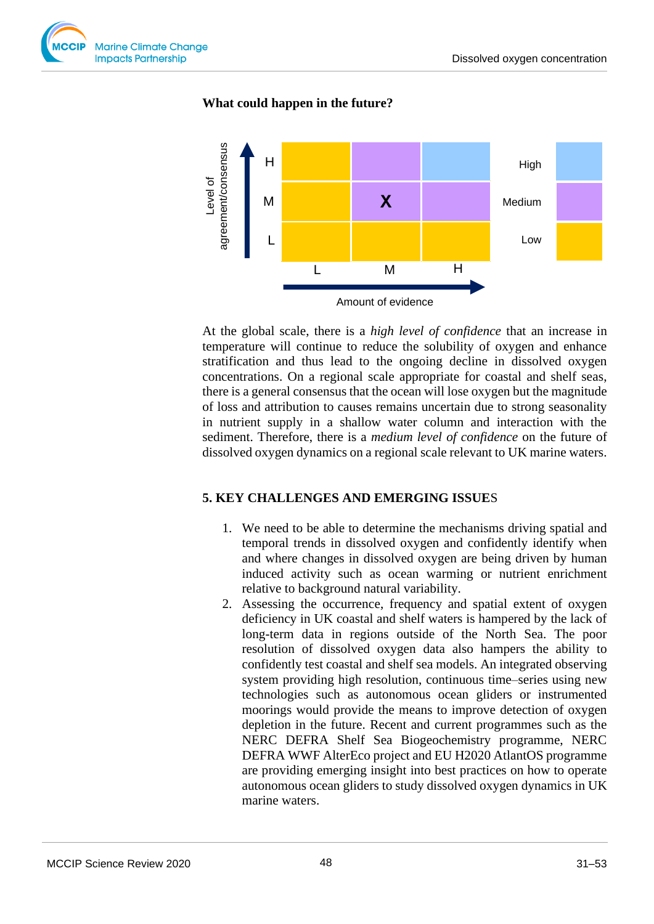

## **What could happen in the future?**



At the global scale, there is a *high level of confidence* that an increase in temperature will continue to reduce the solubility of oxygen and enhance stratification and thus lead to the ongoing decline in dissolved oxygen concentrations. On a regional scale appropriate for coastal and shelf seas, there is a general consensus that the ocean will lose oxygen but the magnitude of loss and attribution to causes remains uncertain due to strong seasonality in nutrient supply in a shallow water column and interaction with the sediment. Therefore, there is a *medium level of confidence* on the future of dissolved oxygen dynamics on a regional scale relevant to UK marine waters.

## **5. KEY CHALLENGES AND EMERGING ISSUE**S

- 1. We need to be able to determine the mechanisms driving spatial and temporal trends in dissolved oxygen and confidently identify when and where changes in dissolved oxygen are being driven by human induced activity such as ocean warming or nutrient enrichment relative to background natural variability.
- 2. Assessing the occurrence, frequency and spatial extent of oxygen deficiency in UK coastal and shelf waters is hampered by the lack of long-term data in regions outside of the North Sea. The poor resolution of dissolved oxygen data also hampers the ability to confidently test coastal and shelf sea models. An integrated observing system providing high resolution, continuous time–series using new technologies such as autonomous ocean gliders or instrumented moorings would provide the means to improve detection of oxygen depletion in the future. Recent and current programmes such as the NERC DEFRA Shelf Sea Biogeochemistry programme, NERC DEFRA WWF AlterEco project and EU H2020 AtlantOS programme are providing emerging insight into best practices on how to operate autonomous ocean gliders to study dissolved oxygen dynamics in UK marine waters.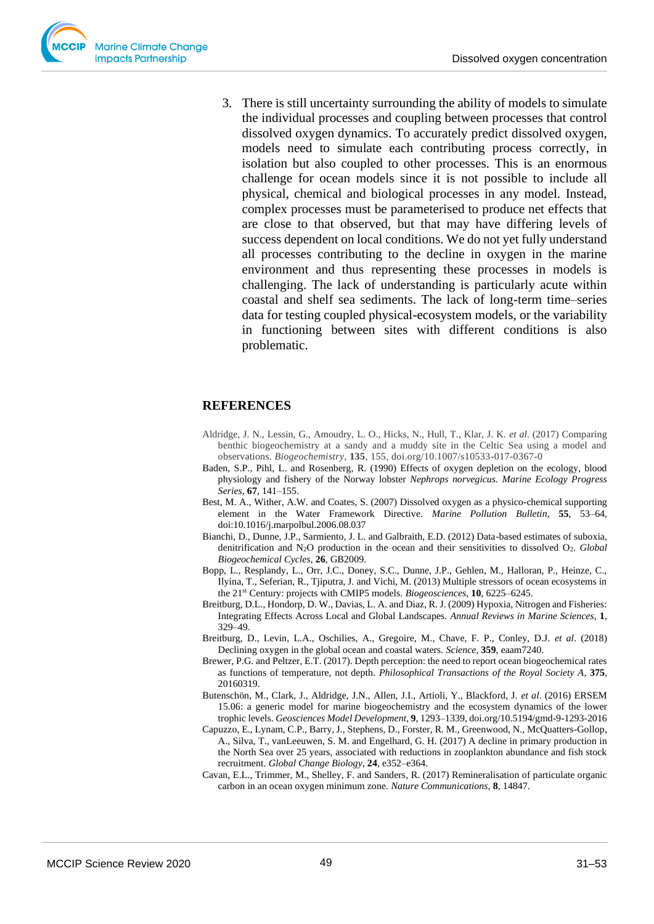

3. There is still uncertainty surrounding the ability of models to simulate the individual processes and coupling between processes that control dissolved oxygen dynamics. To accurately predict dissolved oxygen, models need to simulate each contributing process correctly, in isolation but also coupled to other processes. This is an enormous challenge for ocean models since it is not possible to include all physical, chemical and biological processes in any model. Instead, complex processes must be parameterised to produce net effects that are close to that observed, but that may have differing levels of success dependent on local conditions. We do not yet fully understand all processes contributing to the decline in oxygen in the marine environment and thus representing these processes in models is challenging. The lack of understanding is particularly acute within coastal and shelf sea sediments. The lack of long-term time–series data for testing coupled physical-ecosystem models, or the variability in functioning between sites with different conditions is also problematic.

#### **REFERENCES**

- Aldridge, J. N., Lessin, G., Amoudry, L. O., Hicks, N., Hull, T., Klar, J. K. *et al*. (2017) Comparing benthic biogeochemistry at a sandy and a muddy site in the Celtic Sea using a model and observations. *Biogeochemistry*, **135**, 155, doi.org/10.1007/s10533-017-0367-0
- Baden, S.P., Pihl, L. and Rosenberg, R. (1990) Effects of oxygen depletion on the ecology, blood physiology and fishery of the Norway lobster *Nephrops norvegicus. Marine Ecology Progress Series*, **67**, 141–155.
- Best, M. A., Wither, A.W. and Coates, S. (2007) Dissolved oxygen as a physico-chemical supporting element in the Water Framework Directive. *Marine Pollution Bulletin*, **55**, 53–64, doi:10.1016/j.marpolbul.2006.08.037
- Bianchi, D., Dunne, J.P., Sarmiento, J. L. and Galbraith, E.D. (2012) Data-based estimates of suboxia, denitrification and N<sub>2</sub>O production in the ocean and their sensitivities to dissolved O<sub>2</sub>. *Global Biogeochemical Cycles*, **26**, GB2009.
- Bopp, L., Resplandy, L., Orr, J.C., Doney, S.C., Dunne, J.P., Gehlen, M., Halloran, P., Heinze, C., Ilyina, T., Seferian, R., Tjiputra, J. and Vichi, M. (2013) Multiple stressors of ocean ecosystems in the 21st Century: projects with CMIP5 models. *Biogeosciences*, **10**, 6225–6245.
- Breitburg, D.L., Hondorp, D. W., Davias, L. A. and Diaz, R. J. (2009) Hypoxia, Nitrogen and Fisheries: Integrating Effects Across Local and Global Landscapes. *Annual Reviews in Marine Sciences*, **1**, 329–49.
- Breitburg, D., Levin, L.A., Oschilies, A., Gregoire, M., Chave, F. P., Conley, D.J. *et al*. (2018) Declining oxygen in the global ocean and coastal waters. *Science*, **359**, eaam7240.
- Brewer, P.G. and Peltzer, E.T. (2017). Depth perception: the need to report ocean biogeochemical rates as functions of temperature, not depth. *Philosophical Transactions of the Royal Society A*, **375**, 20160319.
- Butenschön, M., Clark, J., Aldridge, J.N., Allen, J.I., Artioli, Y., Blackford, J. *et al*. (2016) ERSEM 15.06: a generic model for marine biogeochemistry and the ecosystem dynamics of the lower trophic levels. *Geosciences Model Development*, **9**, 1293–1339, doi.org/10.5194/gmd-9-1293-2016
- Capuzzo, E., Lynam, C.P., Barry, J., Stephens, D., Forster, R. M., Greenwood, N., McQuatters-Gollop, A., Silva, T., vanLeeuwen, S. M. and Engelhard, G. H. (2017) A decline in primary production in the North Sea over 25 years, associated with reductions in zooplankton abundance and fish stock recruitment. *Global Change Biology*, **24**, e352–e364.
- Cavan, E.L., Trimmer, M., Shelley, F. and Sanders, R. (2017) Remineralisation of particulate organic carbon in an ocean oxygen minimum zone. *Nature Communications,* **8**, 14847.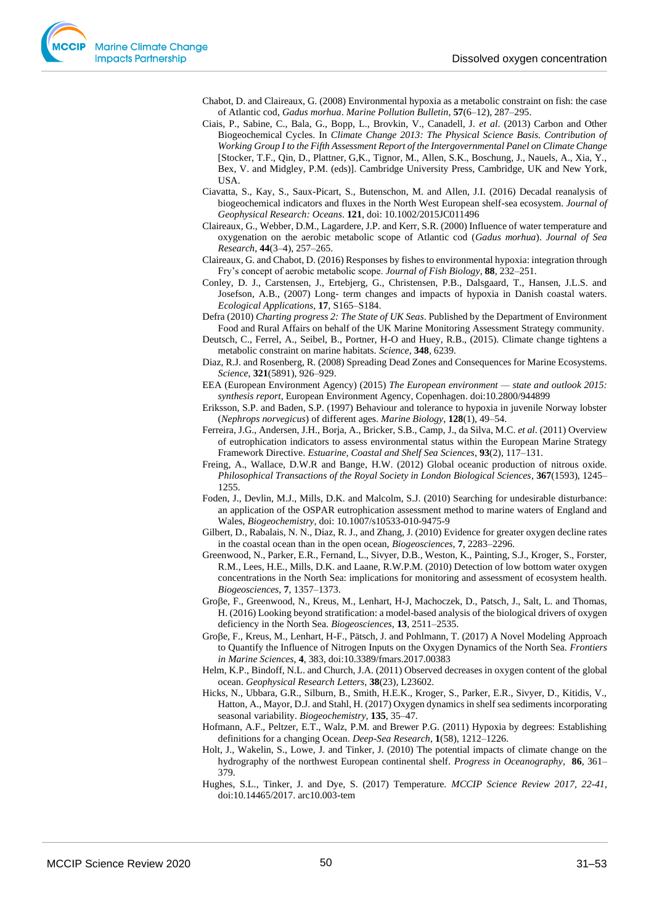Chabot, D. and Claireaux, G. (2008) Environmental hypoxia as a metabolic constraint on fish: the case of Atlantic cod, *Gadus morhua*. *Marine Pollution Bulletin*, **57**(6–12), 287–295.

- Ciais, P., Sabine, C., Bala, G., Bopp, L., Brovkin, V., Canadell, J. *et al*. (2013) Carbon and Other Biogeochemical Cycles. In *Climate Change 2013: The Physical Science Basis. Contribution of Working Group I to the Fifth Assessment Report of the Intergovernmental Panel on Climate Change*  [Stocker, T.F., Qin, D., Plattner, G,K., Tignor, M., Allen, S.K., Boschung, J., Nauels, A., Xia, Y., Bex, V. and Midgley, P.M. (eds)]. Cambridge University Press, Cambridge, UK and New York, USA.
- Ciavatta, S., Kay, S., Saux-Picart, S., Butenschon, M. and Allen, J.I. (2016) Decadal reanalysis of biogeochemical indicators and fluxes in the North West European shelf-sea ecosystem. *Journal of Geophysical Research: Oceans*. **121**, doi: 10.1002/2015JC011496
- Claireaux, G., Webber, D.M., Lagardere, J.P. and Kerr, S.R. (2000) Influence of water temperature and oxygenation on the aerobic metabolic scope of Atlantic cod (*Gadus morhua*). *Journal of Sea Research*, **44**(3–4), 257–265.
- Claireaux, G. and Chabot, D. (2016) Responses by fishes to environmental hypoxia: integration through Fry's concept of aerobic metabolic scope. *Journal of Fish Biology*, **88**, 232–251.
- Conley, D. J., Carstensen, J., Ertebjerg, G., Christensen, P.B., Dalsgaard, T., Hansen, J.L.S. and Josefson, A.B., (2007) Long- term changes and impacts of hypoxia in Danish coastal waters. *Ecological Applications,* **17**, S165–S184.
- Defra (2010) *Charting progress 2: The State of UK Seas*. Published by the Department of Environment Food and Rural Affairs on behalf of the UK Marine Monitoring Assessment Strategy community.
- Deutsch, C., Ferrel, A., Seibel, B., Portner, H-O and Huey, R.B., (2015). Climate change tightens a metabolic constraint on marine habitats. *Science*, **348**, 6239.
- Diaz, R.J. and Rosenberg, R. (2008) Spreading Dead Zones and Consequences for Marine Ecosystems. *Science*, **321**(5891), 926–929.
- EEA (European Environment Agency) (2015) *The European environment — state and outlook 2015: synthesis report*, European Environment Agency, Copenhagen. doi:10.2800/944899
- Eriksson, S.P. and Baden, S.P. (1997) Behaviour and tolerance to hypoxia in juvenile Norway lobster (*Nephrops norvegicus*) of different ages. *Marine Biology*, **128**(1), 49–54.
- Ferreira, J.G., Andersen, J.H., Borja, A., Bricker, S.B., Camp, J., da Silva, M.C. *et al*. (2011) Overview of eutrophication indicators to assess environmental status within the European Marine Strategy Framework Directive. *Estuarine, Coastal and Shelf Sea Sciences*, **93**(2), 117–131.
- Freing, A., Wallace, D.W.R and Bange, H.W. (2012) Global oceanic production of nitrous oxide. *Philosophical Transactions of the Royal Society in London Biological Sciences*, **367**(1593), 1245– 1255.
- Foden, J., Devlin, M.J., Mills, D.K. and Malcolm, S.J. (2010) Searching for undesirable disturbance: an application of the OSPAR eutrophication assessment method to marine waters of England and Wales, *Biogeochemistry*, doi: 10.1007/s10533-010-9475-9
- Gilbert, D., Rabalais, N. N., Díaz, R. J., and Zhang, J. (2010) Evidence for greater oxygen decline rates in the coastal ocean than in the open ocean, *Biogeosciences*, **7**, 2283–2296.
- Greenwood, N., Parker, E.R., Fernand, L., Sivyer, D.B., Weston, K., Painting, S.J., Kroger, S., Forster, R.M., Lees, H.E., Mills, D.K. and Laane, R.W.P.M. (2010) Detection of low bottom water oxygen concentrations in the North Sea: implications for monitoring and assessment of ecosystem health. *Biogeosciences*, **7**, 1357–1373.
- Große, F., Greenwood, N., Kreus, M., Lenhart, H-J, Machoczek, D., Patsch, J., Salt, L. and Thomas, H. (2016) Looking beyond stratification: a model-based analysis of the biological drivers of oxygen deficiency in the North Sea. *Biogeosciences*, **13**, 2511–2535.
- Große, F., Kreus, M., Lenhart, H-F., Pätsch, J. and Pohlmann, T. (2017) A Novel Modeling Approach to Quantify the Influence of Nitrogen Inputs on the Oxygen Dynamics of the North Sea. *Frontiers in Marine Sciences*, **4**, 383, doi:10.3389/fmars.2017.00383
- Helm, K.P., Bindoff, N.L. and Church, J.A. (2011) Observed decreases in oxygen content of the global ocean. *Geophysical Research Letters*, **38**(23), L23602.
- Hicks, N., Ubbara, G.R., Silburn, B., Smith, H.E.K., Kroger, S., Parker, E.R., Sivyer, D., Kitidis, V., Hatton, A., Mayor, D.J. and Stahl, H. (2017) Oxygen dynamics in shelf sea sediments incorporating seasonal variability. *Biogeochemistry,* **135**, 35–47.
- Hofmann, A.F., Peltzer, E.T., Walz, P.M. and Brewer P.G. (2011) Hypoxia by degrees: Establishing definitions for a changing Ocean. *Deep-Sea Research,* **1**(58), 1212–1226.
- Holt, J., Wakelin, S., Lowe, J. and Tinker, J. (2010) The potential impacts of climate change on the hydrography of the northwest European continental shelf. *Progress in Oceanography*, **86**, 361– 379.
- Hughes, S.L., Tinker, J. and Dye, S. (2017) Temperature. *MCCIP Science Review 2017, 22-41*, doi:10.14465/2017. arc10.003-tem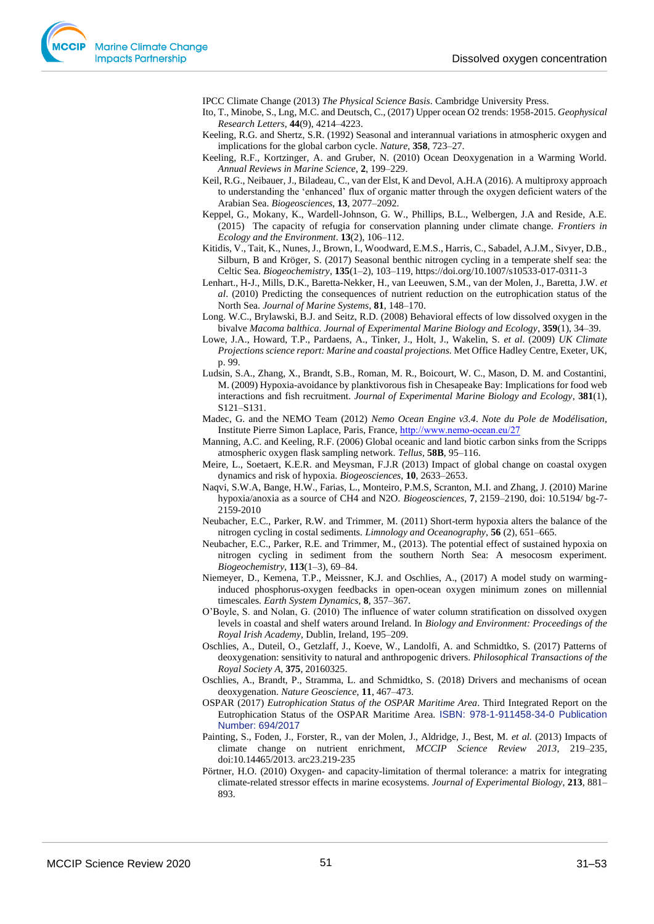IPCC Climate Change (2013) *The Physical Science Basis*. Cambridge University Press.

- Ito, T., Minobe, S., Lng, M.C. and Deutsch, C., (2017) Upper ocean O2 trends: 1958-2015. *Geophysical Research Letters*, **44**(9), 4214–4223.
- Keeling, R.G. and Shertz, S.R. (1992) Seasonal and interannual variations in atmospheric oxygen and implications for the global carbon cycle. *Nature*, **358**, 723–27.
- Keeling, R.F., Kortzinger, A. and Gruber, N. (2010) Ocean Deoxygenation in a Warming World. *Annual Reviews in Marine Science*, **2**, 199–229.
- Keil, R.G., Neibauer, J., Biladeau, C., van der Elst, K and Devol, A.H.A (2016). A multiproxy approach to understanding the 'enhanced' flux of organic matter through the oxygen deficient waters of the Arabian Sea. *Biogeosciences*, **13**, 2077–2092.
- Keppel, G., Mokany, K., Wardell-Johnson, G. W., Phillips, B.L., Welbergen, J.A and Reside, A.E. (2015) The capacity of refugia for conservation planning under climate change. *Frontiers in Ecology and the Environment*. **13**(2), 106–112.
- Kitidis, V., Tait, K., Nunes, J., Brown, I., Woodward, E.M.S., Harris, C., Sabadel, A.J.M., Sivyer, D.B., Silburn, B and Kröger, S. (2017) Seasonal benthic nitrogen cycling in a temperate shelf sea: the Celtic Sea. *Biogeochemistry*, **135**(1–2), 103–119, https://doi.org/10.1007/s10533-017-0311-3
- Lenhart., H-J., Mills, D.K., Baretta-Nekker, H., van Leeuwen, S.M., van der Molen, J., Baretta, J.W. *et al*. (2010) Predicting the consequences of nutrient reduction on the eutrophication status of the North Sea. *Journal of Marine Systems*, **81**, 148–170.
- Long. W.C., Brylawski, B.J. and Seitz, R.D. (2008) Behavioral effects of low dissolved oxygen in the bivalve *Macoma balthica*. *Journal of Experimental Marine Biology and Ecology*, **359**(1), 34–39.
- Lowe, J.A., Howard, T.P., Pardaens, A., Tinker, J., Holt, J., Wakelin, S. *et al*. (2009) *UK Climate Projections science report: Marine and coastal projections.* Met Office Hadley Centre, Exeter, UK, p. 99.
- Ludsin, S.A., Zhang, X., Brandt, S.B., Roman, M. R., Boicourt, W. C., Mason, D. M. and Costantini, M. (2009) Hypoxia-avoidance by planktivorous fish in Chesapeake Bay: Implications for food web interactions and fish recruitment. *Journal of Experimental Marine Biology and Ecology*, **381**(1), S121–S131.
- Madec, G. and the NEMO Team (2012) *Nemo Ocean Engine v3.4*. *Note du Pole de Modélisation*, Institute Pierre Simon Laplace, Paris, France, http://www.nemo-ocean.eu/27
- Manning, A.C. and Keeling, R.F. (2006) Global oceanic and land biotic carbon sinks from the Scripps atmospheric oxygen flask sampling network. *Tellus,* **58B**, 95–116.
- Meire, L., Soetaert, K.E.R. and Meysman, F.J.R (2013) Impact of global change on coastal oxygen dynamics and risk of hypoxia. *Biogeosciences*, **10**, 2633–2653.
- Naqvi, S.W.A, Bange, H.W., Farias, L., Monteiro, P.M.S, Scranton, M.I. and Zhang, J. (2010) Marine hypoxia/anoxia as a source of CH4 and N2O*. Biogeosciences*, **7**, 2159–2190, doi: 10.5194/ bg-7- 2159-2010
- Neubacher, E.C., Parker, R.W. and Trimmer, M. (2011) Short-term hypoxia alters the balance of the nitrogen cycling in costal sediments. *Limnology and Oceanography*, **56** (2), 651–665.
- Neubacher, E.C., Parker, R.E. and Trimmer, M., (2013). The potential effect of sustained hypoxia on nitrogen cycling in sediment from the southern North Sea: A mesocosm experiment. *Biogeochemistry*, **113**(1–3), 69–84.
- Niemeyer, D., Kemena, T.P., Meissner, K.J. and Oschlies, A., (2017) A model study on warminginduced phosphorus-oxygen feedbacks in open-ocean oxygen minimum zones on millennial timescales. *Earth System Dynamics*, **8**, 357–367.
- O'Boyle, S. and Nolan, G. (2010) The influence of water column stratification on dissolved oxygen levels in coastal and shelf waters around Ireland. In *Biology and Environment: Proceedings of the Royal Irish Academy*, Dublin, Ireland, 195–209.
- Oschlies, A., Duteil, O., Getzlaff, J., Koeve, W., Landolfi, A. and Schmidtko, S. (2017) Patterns of deoxygenation: sensitivity to natural and anthropogenic drivers. *Philosophical Transactions of the Royal Society A*, **375**, 20160325.
- Oschlies, A., Brandt, P., Stramma, L. and Schmidtko, S. (2018) Drivers and mechanisms of ocean deoxygenation. *Nature Geoscience*, **11**, 467–473.
- OSPAR (2017) *Eutrophication Status of the OSPAR Maritime Area*. Third Integrated Report on the Eutrophication Status of the OSPAR Maritime Area. ISBN: 978-1-911458-34-0 Publication Number: 694/2017
- Painting, S., Foden, J., Forster, R., van der Molen, J., Aldridge, J., Best, M. *et al.* (2013) Impacts of climate change on nutrient enrichment, *MCCIP Science Review 2013*, 219–235, doi:10.14465/2013. arc23.219-235
- Pörtner, H.O. (2010) Oxygen- and capacity-limitation of thermal tolerance: a matrix for integrating climate-related stressor effects in marine ecosystems. *Journal of Experimental Biology*, **213**, 881– 893.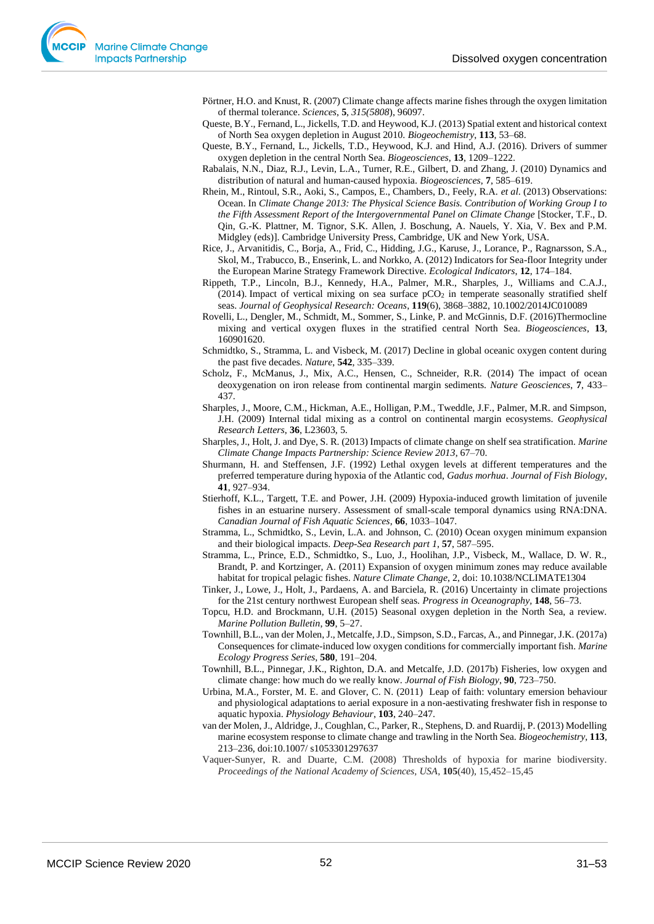Pörtner, H.O. and Knust, R. (2007) Climate change affects marine fishes through the oxygen limitation of thermal tolerance. *Sciences*, **5**, *315(5808*), 96097.

- Queste, B.Y., Fernand, L., Jickells, T.D. and Heywood, K.J. (2013) Spatial extent and historical context of North Sea oxygen depletion in August 2010. *Biogeochemistry*, **113**, 53–68.
- Queste, B.Y., Fernand, L., Jickells, T.D., Heywood, K.J. and Hind, A.J. (2016). Drivers of summer oxygen depletion in the central North Sea. *Biogeosciences*, **13**, 1209–1222.
- Rabalais, N.N., Diaz, R.J., Levin, L.A., Turner, R.E., Gilbert, D. and Zhang, J. (2010) Dynamics and distribution of natural and human-caused hypoxia. *Biogeosciences*, **7**, 585–619.
- Rhein, M., Rintoul, S.R., Aoki, S., Campos, E., Chambers, D., Feely, R.A. *et al*. (2013) Observations: Ocean. In *Climate Change 2013: The Physical Science Basis. Contribution of Working Group I to the Fifth Assessment Report of the Intergovernmental Panel on Climate Change* [Stocker, T.F., D. Qin, G.-K. Plattner, M. Tignor, S.K. Allen, J. Boschung, A. Nauels, Y. Xia, V. Bex and P.M. Midgley (eds)]. Cambridge University Press, Cambridge, UK and New York, USA.
- Rice, J., Arvanitidis, C., Borja, A., Frid, C., Hidding, J.G., Karuse, J., Lorance, P., Ragnarsson, S.A., Skol, M., Trabucco, B., Enserink, L. and Norkko, A. (2012) Indicators for Sea-floor Integrity under the European Marine Strategy Framework Directive. *Ecological Indicators*, **12**, 174–184.
- Rippeth, T.P., Lincoln, B.J., Kennedy, H.A., Palmer, M.R., Sharples, J., Williams and C.A.J., (2014). Impact of vertical mixing on sea surface  $pCO<sub>2</sub>$  in temperate seasonally stratified shelf seas. *Journal of Geophysical Research: Oceans*, **119**(6), 3868–3882[, 10.1002/2014JC010089](http://dx.doi.org/10.1002/2014JC010089)
- Rovelli, L., Dengler, M., Schmidt, M., Sommer, S., Linke, P. and McGinnis, D.F. (2016)Thermocline mixing and vertical oxygen fluxes in the stratified central North Sea. *Biogeosciences*, **13**, 160901620.
- Schmidtko, S., Stramma, L. and Visbeck, M. (2017) Decline in global oceanic oxygen content during the past five decades. *Nature*, **542**, 335–339.
- Scholz, F., McManus, J., Mix, A.C., Hensen, C., Schneider, R.R. (2014) The impact of ocean deoxygenation on iron release from continental margin sediments. *Nature Geosciences*, **7**, 433– 437.
- Sharples, J., Moore, C.M., Hickman, A.E., Holligan, P.M., Tweddle, J.F., Palmer, M.R. and Simpson, J.H. (2009) Internal tidal mixing as a control on continental margin ecosystems. *Geophysical Research Letters*, **36**, L23603, 5.
- Sharples, J., Holt, J. and Dye, S. R. (2013) Impacts of climate change on shelf sea stratification. *Marine Climate Change Impacts Partnership: Science Review 2013*, 67–70.
- Shurmann, H. and Steffensen, J.F. (1992) Lethal oxygen levels at different temperatures and the preferred temperature during hypoxia of the Atlantic cod, *Gadus morhua*. *Journal of Fish Biology*, **41**, 927–934.
- Stierhoff, K.L., Targett, T.E. and Power, J.H. (2009) Hypoxia-induced growth limitation of juvenile fishes in an estuarine nursery. Assessment of small-scale temporal dynamics using RNA:DNA. *Canadian Journal of Fish Aquatic Sciences*, **66**, 1033–1047.
- Stramma, L., Schmidtko, S., Levin, L.A. and Johnson, C. (2010) Ocean oxygen minimum expansion and their biological impacts. *Deep-Sea Research part 1*, **57**, 587–595.
- Stramma, L., Prince, E.D., Schmidtko, S., Luo, J., Hoolihan, J.P., Visbeck, M., Wallace, D. W. R., Brandt, P. and Kortzinger, A. (2011) Expansion of oxygen minimum zones may reduce available habitat for tropical pelagic fishes. *Nature Climate Change*, 2, doi: 10.1038/NCLIMATE1304
- Tinker, J., Lowe, J., Holt, J., Pardaens, A. and Barciela, R. (2016) Uncertainty in climate projections for the 21st century northwest European shelf seas. *Progress in Oceanography,* **148**, 56–73.
- Topcu, H.D. and Brockmann, U.H. (2015) Seasonal oxygen depletion in the North Sea, a review. *Marine Pollution Bulletin*, **99**, 5–27.
- Townhill, B.L., van der Molen, J., Metcalfe, J.D., Simpson, S.D., Farcas, A., and Pinnegar, J.K. (2017a) Consequences for climate-induced low oxygen conditions for commercially important fish. *Marine Ecology Progress Series*, **580**, 191–204.
- Townhill, B.L., Pinnegar, J.K., Righton, D.A. and Metcalfe, J.D. (2017b) Fisheries, low oxygen and climate change: how much do we really know. *Journal of Fish Biology*, **90**, 723–750.
- Urbina, M.A., Forster, M. E. and Glover, C. N. (2011) Leap of faith: voluntary emersion behaviour and physiological adaptations to aerial exposure in a non-aestivating freshwater fish in response to aquatic hypoxia. *Physiology Behaviour*, **103**, 240–247.
- van der Molen, J., Aldridge, J., Coughlan, C., Parker, R., Stephens, D. and Ruardij, P. (2013) Modelling marine ecosystem response to climate change and trawling in the North Sea. *Biogeochemistry*, **113**, 213–236, doi:10.1007/ s1053301297637
- Vaquer-Sunyer, R. and Duarte, C.M. (2008) Thresholds of hypoxia for marine biodiversity. *Proceedings of the National Academy of Sciences, USA*, **105**(40), 15,452–15,45